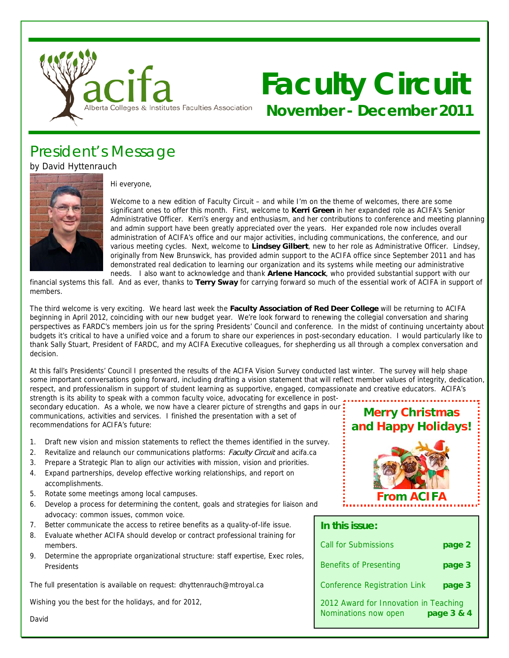

# **Faculty Circuit November - December 2011**

## President's Message

by David Hyttenrauch



Hi everyone,

Welcome to a new edition of Faculty Circuit – and while I'm on the theme of welcomes, there are some significant ones to offer this month. First, welcome to **Kerri Green** in her expanded role as ACIFA's Senior Administrative Officer. Kerri's energy and enthusiasm, and her contributions to conference and meeting planning and admin support have been greatly appreciated over the years. Her expanded role now includes overall administration of ACIFA's office and our major activities, including communications, the conference, and our various meeting cycles. Next, welcome to **Lindsey Gilbert**, new to her role as Administrative Officer. Lindsey, originally from New Brunswick, has provided admin support to the ACIFA office since September 2011 and has demonstrated real dedication to learning our organization and its systems while meeting our administrative needs. I also want to acknowledge and thank **Arlene Hancock**, who provided substantial support with our

financial systems this fall. And as ever, thanks to **Terry Sway** for carrying forward so much of the essential work of ACIFA in support of members.

The third welcome is very exciting. We heard last week the **Faculty Association of Red Deer College** will be returning to ACIFA beginning in April 2012, coinciding with our new budget year. We're look forward to renewing the collegial conversation and sharing perspectives as FARDC's members join us for the spring Presidents' Council and conference. In the midst of continuing uncertainty about budgets it's critical to have a unified voice and a forum to share our experiences in post-secondary education. I would particularly like to thank Sally Stuart, President of FARDC, and my ACIFA Executive colleagues, for shepherding us all through a complex conversation and decision.

At this fall's Presidents' Council I presented the results of the ACIFA Vision Survey conducted last winter. The survey will help shape some important conversations going forward, including drafting a vision statement that will reflect member values of integrity, dedication, respect, and professionalism in support of student learning as supportive, engaged, compassionate and creative educators. ACIFA's

strength is its ability to speak with a common faculty voice, advocating for excellence in postsecondary education. As a whole, we now have a clearer picture of strengths and gaps in our communications, activities and services. I finished the presentation with a set of recommendations for ACIFA's future:

- 1. Draft new vision and mission statements to reflect the themes identified in the survey.
- 2. Revitalize and relaunch our communications platforms: Faculty Circuit and acifa.ca
- 3. Prepare a Strategic Plan to align our activities with mission, vision and priorities.
- 4. Expand partnerships, develop effective working relationships, and report on accomplishments.
- 5. Rotate some meetings among local campuses.
- 6. Develop a process for determining the content, goals and strategies for liaison and advocacy: common issues, common voice.
- 7. Better communicate the access to retiree benefits as a quality-of-life issue.
- 8. Evaluate whether ACIFA should develop or contract professional training for members.
- 9. Determine the appropriate organizational structure: staff expertise, Exec roles, Presidents

The full presentation is available on request: dhyttenrauch@mtroyal.ca

Wishing you the best for the holidays, and for 2012,



**Merry Christmas**

**In this issue:**  Call for Submissions **page 2** Benefits of Presenting **page 3** Conference Registration Link **page 3** 2012 Award for Innovation in Teaching Nominations now open **page 3 & 4** 

David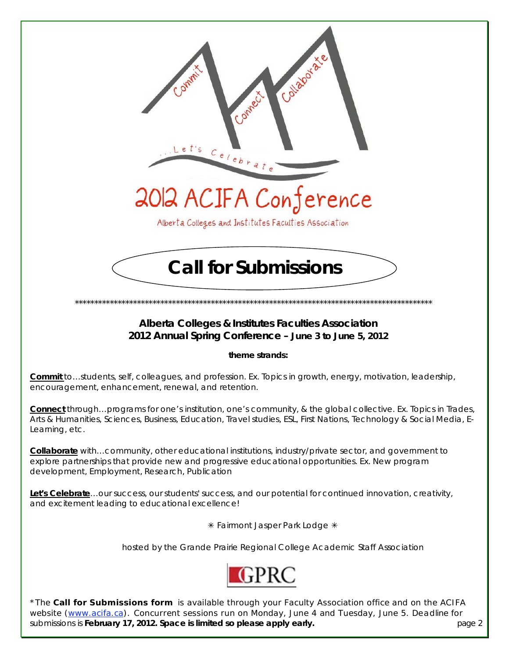

## **Alberta Colleges & Institutes Faculties Association 2012 Annual Spring Conference – June 3 to June 5, 2012**

**theme strands:** 

**Commit** to…students, self, colleagues, and profession. Ex. Topics in growth, energy, motivation, leadership, encouragement, enhancement, renewal, and retention.

**Connect** through…programs for one's institution, one's community, & the global collective. Ex. Topics in Trades, Arts & Humanities, Sciences, Business, Education, Travel studies, ESL, First Nations, Technology & Social Media, E-Learning, etc.

**Collaborate** with…community, other educational institutions, industry/private sector, and government to explore partnerships that provide new and progressive educational opportunities. Ex. New program development, Employment, Research, Publication

**Let's Celebrate**…our success, our students' success, and our potential for continued innovation, creativity, and excitement leading to educational excellence!

\* Fairmont Jasper Park Lodge \*

hosted by the Grande Prairie Regional College Academic Staff Association



\*The **Call for Submissions form** is available through your Faculty Association office and on the ACIFA website (www.acifa.ca). Concurrent sessions run on Monday, June 4 and Tuesday, June 5. Deadline for submissions is **February 17, 2012. Space is limited so please apply early.** page 2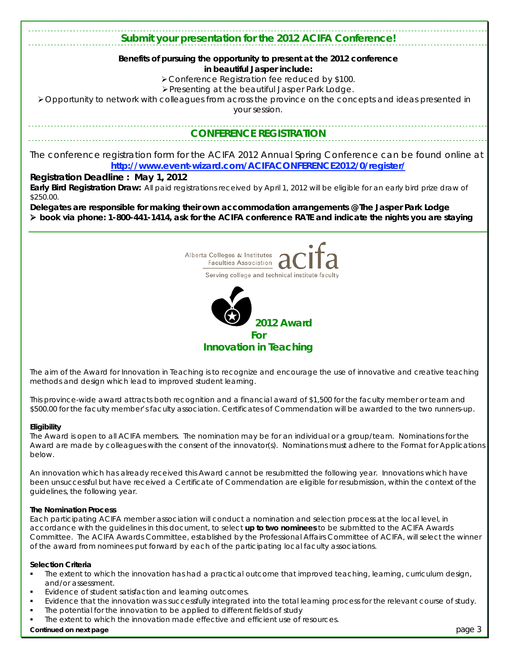## **Submit your presentation for the 2012 ACIFA Conference!**

#### **Benefits of pursuing the opportunity to present at the 2012 conference in beautiful Jasper include:**

Conference Registration fee reduced by \$100.

Presenting at the beautiful Jasper Park Lodge.

Opportunity to network with colleagues from across the province on the concepts and ideas presented in your session.

## **CONFERENCE REGISTRATION**

The conference registration form for the ACIFA 2012 Annual Spring Conference can be found online at **http://www.event-wizard.com/ACIFACONFERENCE2012/0/register/** 

#### **Registration Deadline : May 1, 2012**

**Early Bird Registration Draw:** All paid registrations received by April 1, 2012 will be eligible for an early bird prize draw of \$250.00.

**Delegates are responsible for making their own accommodation arrangements @ The Jasper Park Lodge book via phone: 1-800-441-1414, ask for the ACIFA conference RATE and indicate the nights you are staying**





*The aim of the Award for Innovation in Teaching is to recognize and encourage the use of innovative and creative teaching methods and design which lead to improved student learning.* 

*This province-wide award attracts both recognition and a financial award of \$1,500 for the faculty member or team and \$500.00 for the faculty member's faculty association. Certificates of Commendation will be awarded to the two runners-up.* 

#### **Eligibility**

The Award is open to all ACIFA members. The nomination may be for an individual or a group/team. Nominations for the Award are made by colleagues with the consent of the innovator(s). Nominations must adhere to the *Format for Applications* below.

An innovation which has already received this Award cannot be resubmitted the following year. Innovations which have been unsuccessful but have received a Certificate of Commendation are eligible for resubmission, within the context of the guidelines, the following year.

#### **The Nomination Process**

Each participating ACIFA member association will conduct a nomination and selection process at the local level, in accordance with the guidelines in this document, to select **up to two nominees** to be submitted to the ACIFA Awards Committee. The ACIFA Awards Committee, established by the Professional Affairs Committee of ACIFA, will select the winner of the award from nominees put forward by each of the participating local faculty associations.

#### **Selection Criteria**

- The extent to which the innovation has had a practical outcome that improved teaching, learning, curriculum design, and/or assessment.
- Evidence of student satisfaction and learning outcomes.
- Evidence that the innovation was successfully integrated into the total learning process for the relevant course of study.
- The potential for the innovation to be applied to different fields of study
- The extent to which the innovation made effective and efficient use of resources.

#### **Continued on next page 3 page 3 page 3 page 3 page 3 page 3 page 3 page 3 page 3**